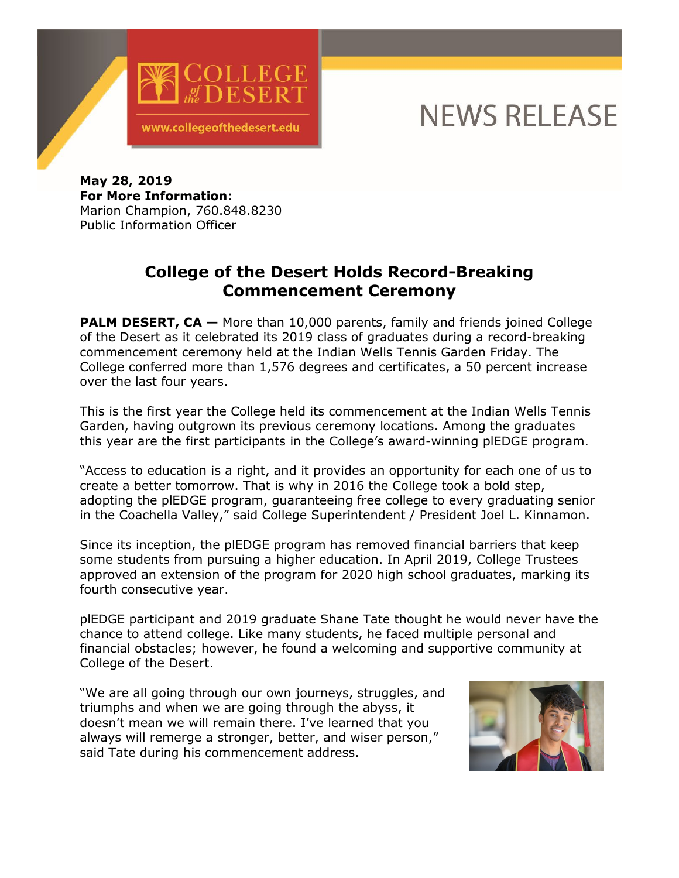

## **NEWS RELEASE**

**May 28, 2019 For More Information**: Marion Champion, 760.848.8230 Public Information Officer

## **College of the Desert Holds Record-Breaking Commencement Ceremony**

**PALM DESERT, CA** – More than 10,000 parents, family and friends joined College of the Desert as it celebrated its 2019 class of graduates during a record-breaking commencement ceremony held at the Indian Wells Tennis Garden Friday. The College conferred more than 1,576 degrees and certificates, a 50 percent increase over the last four years.

This is the first year the College held its commencement at the Indian Wells Tennis Garden, having outgrown its previous ceremony locations. Among the graduates this year are the first participants in the College's award-winning plEDGE program.

"Access to education is a right, and it provides an opportunity for each one of us to create a better tomorrow. That is why in 2016 the College took a bold step, adopting the plEDGE program, guaranteeing free college to every graduating senior in the Coachella Valley," said College Superintendent / President Joel L. Kinnamon.

Since its inception, the plEDGE program has removed financial barriers that keep some students from pursuing a higher education. In April 2019, College Trustees approved an extension of the program for 2020 high school graduates, marking its fourth consecutive year.

plEDGE participant and 2019 graduate Shane Tate thought he would never have the chance to attend college. Like many students, he faced multiple personal and financial obstacles; however, he found a welcoming and supportive community at College of the Desert.

"We are all going through our own journeys, struggles, and triumphs and when we are going through the abyss, it doesn't mean we will remain there. I've learned that you always will remerge a stronger, better, and wiser person," said Tate during his commencement address.